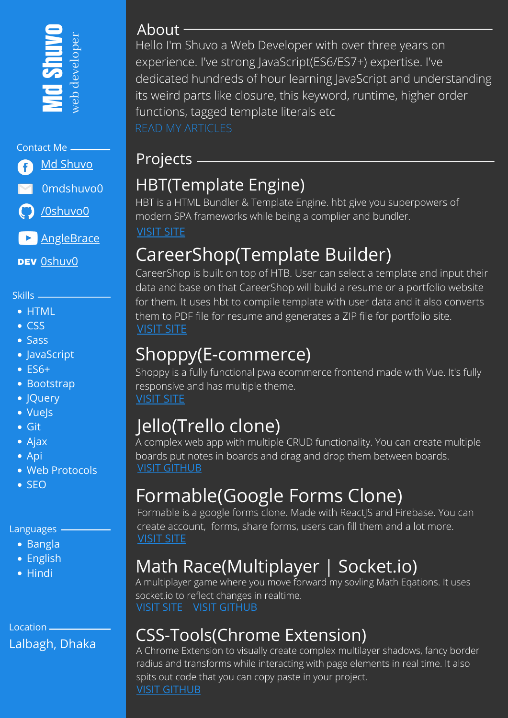

#### Contact Me

**Md [Shuvo](https://www.facebook.com/profile.php?id=100014040721089)** 0mdshuvo0

[/0shuvo0](https://github.com/0shuvo0)

**[AngleBrace](https://www.youtube.com/c/AngleBrace)** 

DEV <u>Oshuv0</u>

Skills

- HTML
- CSS
- Sass
- JavaScript
- ES6+
- Bootstrap
- JQuery
- Vuels
- Git
- Ajax
- Api
- Web Protocols
- SEO

#### Languages -

- Bangla
- English
- Hindi

Location Lalbagh, Dhaka

#### About

Hello I'm Shuvo a Web Developer with over three years on experience. I've strong JavaScript(ES6/ES7+) expertise. I've dedicated hundreds of hour learning JavaScript and understanding its weird parts like closure, this keyword, runtime, higher order functions, tagged template literals etc

### Projects

## HBT(Template Engine)

HBT is a HTML Bundler & Template Engine. hbt give you superpowers of modern SPA frameworks while being a complier and bundler.

[VISIT](https://hbt-doc.netlify.app/) SITE

## CareerShop(Template Builder)

CareerShop is built on top of HTB. User can select a template and input their data and base on that CareerShop will build a resume or a portfolio website for them. It uses hbt to compile template with user data and it also converts them to PDF file for resume and generates a ZIP file for portfolio site. [VISIT](https://0shuvo0.github.io/shadowvis/) SITE

## Shoppy(E-commerce)

Shoppy is a fully functional pwa ecommerce frontend made with Vue. It's fully responsive and has multiple theme. [VISIT](https://0shuvo0.github.io/shoppy) SITE

## Jello(Trello clone)

A complex web app with multiple CRUD functionality. You can create multiple boards put notes in boards and drag and drop them between boards. VISIT [GITHUB](https://github.com/0shuvo0/trello-clone)

## Formable(Google Forms Clone)

Formable is a google forms clone. Made with ReactJS and Firebase. You can create account, forms, share forms, users can fill them and a lot more. [VISIT](https://formable-gfc.netlify.app/) SITE

# Math Race(Multiplayer | Socket.io)

A multiplayer game where you move forward my sovling Math Eqations. It uses socket.io to reflect changes in realtime. [VISIT](https://math-race123.herokuapp.com/) SITE VISIT [GITHUB](https://github.com/0shuvo0/math-race)

## CSS-Tools(Chrome Extension)

A Chrome Extension to visually create complex multilayer shadows, fancy border radius and transforms while interacting with page elements in real time. It also spits out code that you can copy paste in your project. VISIT [GITHUB](https://github.com/0shuvo0/css-tools-ext)